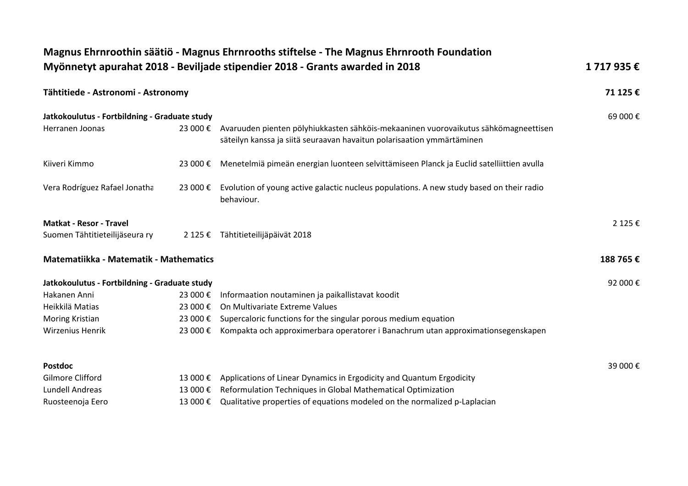|                                               |          | Magnus Ehrnroothin säätiö - Magnus Ehrnrooths stiftelse - The Magnus Ehrnrooth Foundation<br>Myönnetyt apurahat 2018 - Beviljade stipendier 2018 - Grants awarded in 2018 | 1717935€ |
|-----------------------------------------------|----------|---------------------------------------------------------------------------------------------------------------------------------------------------------------------------|----------|
|                                               |          |                                                                                                                                                                           |          |
| Tähtitiede - Astronomi - Astronomy            |          |                                                                                                                                                                           | 71 125 € |
| Jatkokoulutus - Fortbildning - Graduate study |          |                                                                                                                                                                           | 69 000€  |
| Herranen Joonas                               | 23 000 € | Avaruuden pienten pölyhiukkasten sähköis-mekaaninen vuorovaikutus sähkömagneettisen<br>säteilyn kanssa ja siitä seuraavan havaitun polarisaation ymmärtäminen             |          |
| Kiiveri Kimmo                                 | 23 000 € | Menetelmiä pimeän energian luonteen selvittämiseen Planck ja Euclid satelliittien avulla                                                                                  |          |
| Vera Rodríguez Rafael Jonatha                 | 23 000 € | Evolution of young active galactic nucleus populations. A new study based on their radio<br>behaviour.                                                                    |          |
| <b>Matkat - Resor - Travel</b>                |          |                                                                                                                                                                           | 2 125 €  |
| Suomen Tähtitieteilijäseura ry                |          | 2 125 € Tähtitieteilijäpäivät 2018                                                                                                                                        |          |
| Matematiikka - Matematik - Mathematics        |          |                                                                                                                                                                           | 188 765€ |
| Jatkokoulutus - Fortbildning - Graduate study |          |                                                                                                                                                                           | 92 000€  |
| Hakanen Anni                                  | 23 000 € | Informaation noutaminen ja paikallistavat koodit                                                                                                                          |          |
| Heikkilä Matias                               | 23 000 € | On Multivariate Extreme Values                                                                                                                                            |          |
| Moring Kristian                               | 23 000 € | Supercaloric functions for the singular porous medium equation                                                                                                            |          |
| <b>Wirzenius Henrik</b>                       | 23 000 € | Kompakta och approximerbara operatorer i Banachrum utan approximationsegenskapen                                                                                          |          |
| <b>Postdoc</b>                                |          |                                                                                                                                                                           | 39 000€  |
| Gilmore Clifford                              | 13 000 € | Applications of Linear Dynamics in Ergodicity and Quantum Ergodicity                                                                                                      |          |
| <b>Lundell Andreas</b>                        | 13 000 € | Reformulation Techniques in Global Mathematical Optimization                                                                                                              |          |
| Ruosteenoja Eero                              | 13 000 € | Qualitative properties of equations modeled on the normalized p-Laplacian                                                                                                 |          |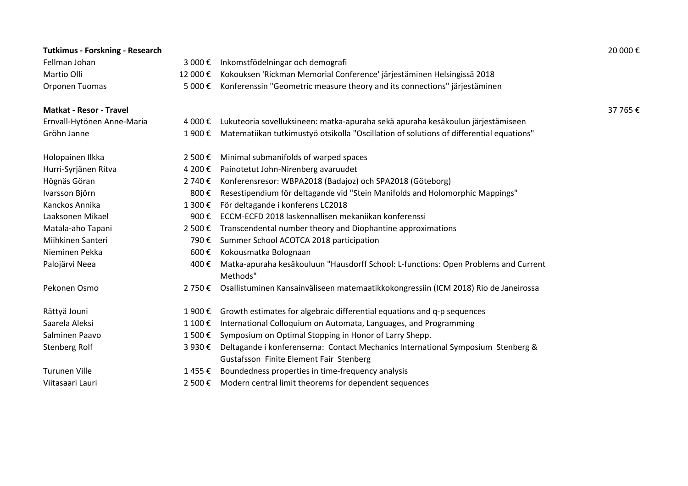| <b>Tutkimus - Forskning - Research</b> |         |                                                                                                                             | 20 000€  |
|----------------------------------------|---------|-----------------------------------------------------------------------------------------------------------------------------|----------|
| Fellman Johan                          |         | 3 000 € Inkomstfödelningar och demografi                                                                                    |          |
| Martio Olli                            | 12 000€ | Kokouksen 'Rickman Memorial Conference' järjestäminen Helsingissä 2018                                                      |          |
| Orponen Tuomas                         | 5 000 € | Konferenssin "Geometric measure theory and its connections" järjestäminen                                                   |          |
| <b>Matkat - Resor - Travel</b>         |         |                                                                                                                             | 37 765 € |
| Ernvall-Hytönen Anne-Maria             | 4 000 € | Lukuteoria sovelluksineen: matka-apuraha sekä apuraha kesäkoulun järjestämiseen                                             |          |
| Gröhn Janne                            | 1 900 € | Matematiikan tutkimustyö otsikolla "Oscillation of solutions of differential equations"                                     |          |
| Holopainen Ilkka                       | 2 500 € | Minimal submanifolds of warped spaces                                                                                       |          |
| Hurri-Syrjänen Ritva                   | 4 200 € | Painotetut John-Nirenberg avaruudet                                                                                         |          |
| Högnäs Göran                           | 2 740 € | Konferensresor: WBPA2018 (Badajoz) och SPA2018 (Göteborg)                                                                   |          |
| Ivarsson Björn                         | 800€    | Resestipendium för deltagande vid "Stein Manifolds and Holomorphic Mappings"                                                |          |
| Kanckos Annika                         | 1 300€  | För deltagande i konferens LC2018                                                                                           |          |
| Laaksonen Mikael                       | 900€    | ECCM-ECFD 2018 laskennallisen mekaniikan konferenssi                                                                        |          |
| Matala-aho Tapani                      | 2 500 € | Transcendental number theory and Diophantine approximations                                                                 |          |
| Miihkinen Santeri                      | 790€    | Summer School ACOTCA 2018 participation                                                                                     |          |
| Nieminen Pekka                         | 600€    | Kokousmatka Bolognaan                                                                                                       |          |
| Palojärvi Neea                         | 400€    | Matka-apuraha kesäkouluun "Hausdorff School: L-functions: Open Problems and Current<br>Methods"                             |          |
| Pekonen Osmo                           | 2 750 € | Osallistuminen Kansainväliseen matemaatikkokongressiin (ICM 2018) Rio de Janeirossa                                         |          |
| Rättyä Jouni                           | 1 900€  | Growth estimates for algebraic differential equations and q-p sequences                                                     |          |
| Saarela Aleksi                         | 1 100€  | International Colloquium on Automata, Languages, and Programming                                                            |          |
| Salminen Paavo                         | 1 500 € | Symposium on Optimal Stopping in Honor of Larry Shepp.                                                                      |          |
| Stenberg Rolf                          | 3 930 € | Deltagande i konferenserna: Contact Mechanics International Symposium Stenberg &<br>Gustafsson Finite Element Fair Stenberg |          |
| <b>Turunen Ville</b>                   | 1455€   | Boundedness properties in time-frequency analysis                                                                           |          |
| Viitasaari Lauri                       |         | 2 500 € Modern central limit theorems for dependent sequences                                                               |          |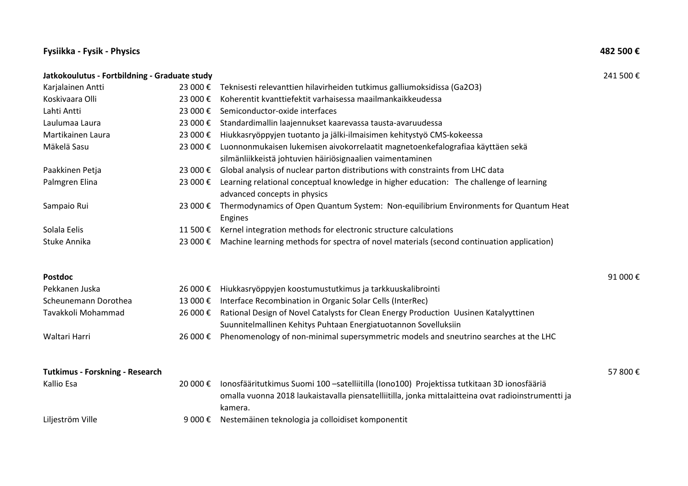#### **Fysiikka - Fysik - Physics 482 500 €**

# **Jatkokoulutus - Fortbildning - Graduate study** 241 500 € Karjalainen Antti 23 000 € Teknisesti relevanttien hilavirheiden tutkimus galliumoksidissa (Ga2O3) Koskivaara Olli 23 000 € Koherentit kvanttiefektit varhaisessa maailmankaikkeudessa Lahti Antti 23 000 € Semiconductor-oxide interfaces Laulumaa Laura 23 000 € Standardimallin laajennukset kaarevassa tausta-avaruudessa Martikainen Laura 23 000 € Hiukkasryöppyjen tuotanto ja jälki-ilmaisimen kehitystyö CMS-kokeessa Mäkelä Sasu 23 000 € Luonnonmukaisen lukemisen aivokorrelaatit magnetoenkefalografiaa käyttäen sekä silmänliikkeistä johtuvien häiriösignaalien vaimentaminen Paakkinen Petja 23 000 € Global analysis of nuclear parton distributions with constraints from LHC data Palmgren Elina 23 000 € Learning relational conceptual knowledge in higher education: The challenge of learning advanced concepts in physics Sampaio Rui 23 000 € Thermodynamics of Open Quantum System: Non-equilibrium Environments for Quantum Heat Engines Solala Eelis  $11500 \text{E}$  Kernel integration methods for electronic structure calculations Stuke Annika 23 000 € Machine learning methods for spectra of novel materials (second continuation application) **Postdoc** 91 000 € Pekkanen Juska 26 000 € Hiukkasryöppyjen koostumustutkimus ja tarkkuuskalibrointi Scheunemann Dorothea 13 000 € Interface Recombination in Organic Solar Cells (InterRec) Tavakkoli Mohammad 26 000 € Rational Design of Novel Catalysts for Clean Energy Production Uusinen Katalyyttinen Suunnitelmallinen Kehitys Puhtaan Energiatuotannon Sovelluksiin Waltari Harri 26 000 € Phenomenology of non-minimal supersymmetric models and sneutrino searches at the LHC **Tutkimus - Forskning - Research** 57 800 € Kallio Esa 20 000 € Ionosfääritutkimus Suomi 100 –satelliitilla (Iono100) Projektissa tutkitaan 3D ionosfääriä omalla vuonna 2018 laukaistavalla piensatelliitilla, jonka mittalaitteina ovat radioinstrumentti ja kamera.

Liljeström Ville 9 000 € Nestemäinen teknologia ja colloidiset komponentit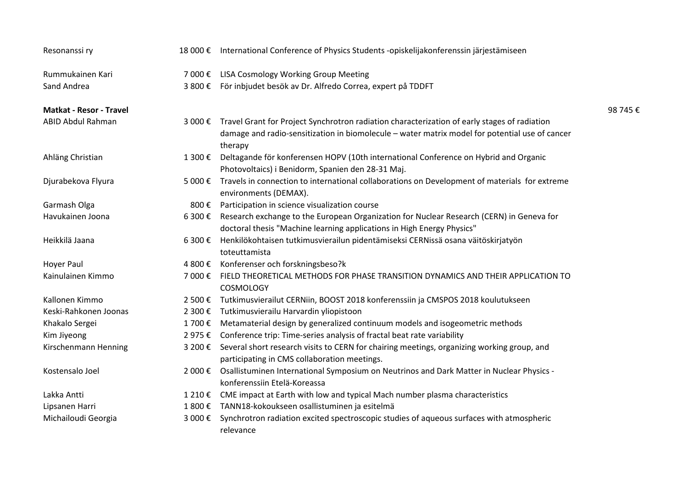| Resonanssi ry                  |         | 18 000 € International Conference of Physics Students -opiskelijakonferenssin järjestämiseen                                                                                                                      |          |
|--------------------------------|---------|-------------------------------------------------------------------------------------------------------------------------------------------------------------------------------------------------------------------|----------|
| Rummukainen Kari               |         | 7 000 € LISA Cosmology Working Group Meeting                                                                                                                                                                      |          |
| Sand Andrea                    |         | 3 800 € För inbjudet besök av Dr. Alfredo Correa, expert på TDDFT                                                                                                                                                 |          |
| <b>Matkat - Resor - Travel</b> |         |                                                                                                                                                                                                                   | 98 745 € |
| ABID Abdul Rahman              |         | 3 000 € Travel Grant for Project Synchrotron radiation characterization of early stages of radiation<br>damage and radio-sensitization in biomolecule - water matrix model for potential use of cancer<br>therapy |          |
| Ahläng Christian               | 1 300 € | Deltagande för konferensen HOPV (10th international Conference on Hybrid and Organic<br>Photovoltaics) i Benidorm, Spanien den 28-31 Maj.                                                                         |          |
| Djurabekova Flyura             | 5 000 € | Travels in connection to international collaborations on Development of materials for extreme<br>environments (DEMAX).                                                                                            |          |
| Garmash Olga                   |         | 800 € Participation in science visualization course                                                                                                                                                               |          |
| Havukainen Joona               |         | 6 300 € Research exchange to the European Organization for Nuclear Research (CERN) in Geneva for<br>doctoral thesis "Machine learning applications in High Energy Physics"                                        |          |
| Heikkilä Jaana                 | 6 300 € | Henkilökohtaisen tutkimusvierailun pidentämiseksi CERNissä osana väitöskirjatyön<br>toteuttamista                                                                                                                 |          |
| <b>Hoyer Paul</b>              | 4 800 € | Konferenser och forskningsbeso?k                                                                                                                                                                                  |          |
| Kainulainen Kimmo              | 7 000 € | FIELD THEORETICAL METHODS FOR PHASE TRANSITION DYNAMICS AND THEIR APPLICATION TO<br><b>COSMOLOGY</b>                                                                                                              |          |
| Kallonen Kimmo                 | 2 500 € | Tutkimusvierailut CERNiin, BOOST 2018 konferenssiin ja CMSPOS 2018 koulutukseen                                                                                                                                   |          |
| Keski-Rahkonen Joonas          | 2 300 € | Tutkimusvierailu Harvardin yliopistoon                                                                                                                                                                            |          |
| Khakalo Sergei                 |         | 1 700 € Metamaterial design by generalized continuum models and isogeometric methods                                                                                                                              |          |
| Kim Jiyeong                    |         | 2 975 € Conference trip: Time-series analysis of fractal beat rate variability                                                                                                                                    |          |
| Kirschenmann Henning           |         | 3 200 € Several short research visits to CERN for chairing meetings, organizing working group, and<br>participating in CMS collaboration meetings.                                                                |          |
| Kostensalo Joel                | 2 000 € | Osallistuminen International Symposium on Neutrinos and Dark Matter in Nuclear Physics -<br>konferenssiin Etelä-Koreassa                                                                                          |          |
| Lakka Antti                    | 1 210 € | CME impact at Earth with low and typical Mach number plasma characteristics                                                                                                                                       |          |
| Lipsanen Harri                 |         | 1 800 € TANN18-kokoukseen osallistuminen ja esitelmä                                                                                                                                                              |          |
| Michailoudi Georgia            | 3 000 € | Synchrotron radiation excited spectroscopic studies of aqueous surfaces with atmospheric<br>relevance                                                                                                             |          |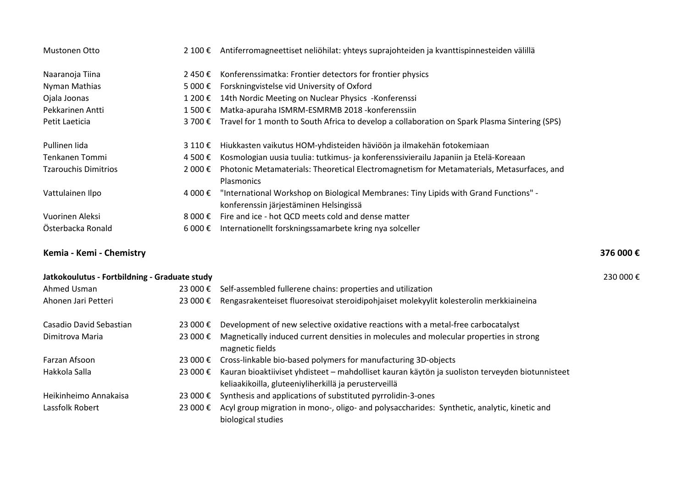| Mustonen Otto               | $2,100$ €        | Antiferromagneettiset neliöhilat: yhteys suprajohteiden ja kvanttispinnesteiden välillä                                        |
|-----------------------------|------------------|--------------------------------------------------------------------------------------------------------------------------------|
| Naaranoja Tiina             | 2450€            | Konferenssimatka: Frontier detectors for frontier physics                                                                      |
| Nyman Mathias               | 5 000 €          | Forskningvistelse vid University of Oxford                                                                                     |
| Ojala Joonas                | 1 200 €          | 14th Nordic Meeting on Nuclear Physics - Konferenssi                                                                           |
| Pekkarinen Antti            | 1 500 €          | Matka-apuraha ISMRM-ESMRMB 2018 - konferenssiin                                                                                |
| Petit Laeticia              | 3 700 €          | Travel for 1 month to South Africa to develop a collaboration on Spark Plasma Sintering (SPS)                                  |
| Pullinen lida               | 3 110 €          | Hiukkasten vaikutus HOM-yhdisteiden häviöön ja ilmakehän fotokemiaan                                                           |
| Tenkanen Tommi              | 4 500 €          | Kosmologian uusia tuulia: tutkimus- ja konferenssivierailu Japaniin ja Etelä-Koreaan                                           |
| <b>Tzarouchis Dimitrios</b> | 2 000 €          | Photonic Metamaterials: Theoretical Electromagnetism for Metamaterials, Metasurfaces, and<br>Plasmonics                        |
| Vattulainen Ilpo            | 4 000 €          | "International Workshop on Biological Membranes: Tiny Lipids with Grand Functions" -<br>konferenssin järjestäminen Helsingissä |
| Vuorinen Aleksi             | 8 000 $\epsilon$ | Fire and ice - hot QCD meets cold and dense matter                                                                             |
| Österbacka Ronald           | 6 000 €          | Internationellt forskningssamarbete kring nya solceller                                                                        |

### **Kemia - Kemi - Chemistry 376 000 €**

| Jatkokoulutus - Fortbildning - Graduate study |          |                                                                                                                                                          | 230 000 € |
|-----------------------------------------------|----------|----------------------------------------------------------------------------------------------------------------------------------------------------------|-----------|
| Ahmed Usman                                   | 23 000 € | Self-assembled fullerene chains: properties and utilization                                                                                              |           |
| Ahonen Jari Petteri                           | 23 000 € | Rengasrakenteiset fluoresoivat steroidipohjaiset molekyylit kolesterolin merkkiaineina                                                                   |           |
| Casadio David Sebastian                       | 23 000 € | Development of new selective oxidative reactions with a metal-free carbocatalyst                                                                         |           |
| Dimitrova Maria                               | 23 000 € | Magnetically induced current densities in molecules and molecular properties in strong<br>magnetic fields                                                |           |
| Farzan Afsoon                                 | 23 000 € | Cross-linkable bio-based polymers for manufacturing 3D-objects                                                                                           |           |
| Hakkola Salla                                 | 23 000 € | Kauran bioaktiiviset yhdisteet - mahdolliset kauran käytön ja suoliston terveyden biotunnisteet<br>keliaakikoilla, gluteeniyliherkillä ja perusterveillä |           |
| Heikinheimo Annakaisa                         | 23 000 € | Synthesis and applications of substituted pyrrolidin-3-ones                                                                                              |           |
| Lassfolk Robert                               | 23 000 € | Acyl group migration in mono-, oligo- and polysaccharides: Synthetic, analytic, kinetic and<br>biological studies                                        |           |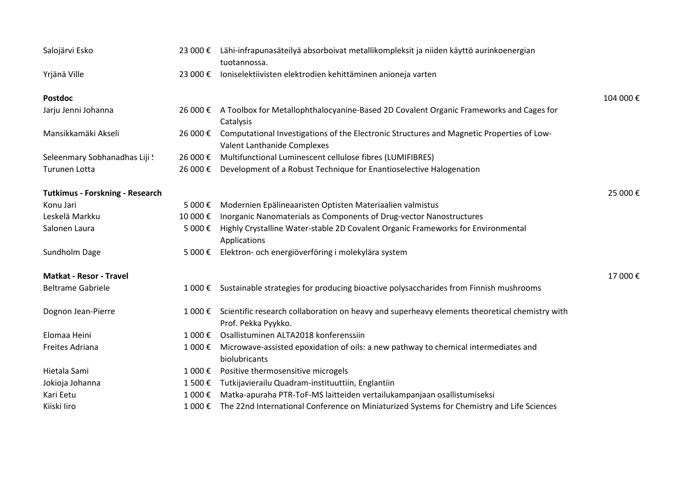| Salojärvi Esko                         |          | 23 000 € Lähi-infrapunasäteilyä absorboivat metallikompleksit ja niiden käyttö aurinkoenergian<br>tuotannossa.               |          |
|----------------------------------------|----------|------------------------------------------------------------------------------------------------------------------------------|----------|
| Yrjänä Ville                           | 23 000 € | Ioniselektiivisten elektrodien kehittäminen anioneja varten                                                                  |          |
| <b>Postdoc</b>                         |          |                                                                                                                              | 104 000€ |
| Jarju Jenni Johanna                    |          | 26 000 € A Toolbox for Metallophthalocyanine-Based 2D Covalent Organic Frameworks and Cages for<br>Catalysis                 |          |
| Mansikkamäki Akseli                    | 26 000 € | Computational Investigations of the Electronic Structures and Magnetic Properties of Low-<br>Valent Lanthanide Complexes     |          |
| Seleenmary Sobhanadhas Liji !          | 26 000€  | Multifunctional Luminescent cellulose fibres (LUMIFIBRES)                                                                    |          |
| Turunen Lotta                          | 26 000 € | Development of a Robust Technique for Enantioselective Halogenation                                                          |          |
| <b>Tutkimus - Forskning - Research</b> |          |                                                                                                                              | 25 000€  |
| Konu Jari                              | 5 000€   | Modernien Epälineaaristen Optisten Materiaalien valmistus                                                                    |          |
| Leskelä Markku                         | 10 000 € | Inorganic Nanomaterials as Components of Drug-vector Nanostructures                                                          |          |
| Salonen Laura                          | 5 000 €  | Highly Crystalline Water-stable 2D Covalent Organic Frameworks for Environmental<br>Applications                             |          |
| Sundholm Dage                          | 5 000€   | Elektron- och energiöverföring i molekylära system                                                                           |          |
| <b>Matkat - Resor - Travel</b>         |          |                                                                                                                              | 17 000€  |
| <b>Beltrame Gabriele</b>               | 1 000 €  | Sustainable strategies for producing bioactive polysaccharides from Finnish mushrooms                                        |          |
| Dognon Jean-Pierre                     |          | 1 000 € Scientific research collaboration on heavy and superheavy elements theoretical chemistry with<br>Prof. Pekka Pyykko. |          |
| Elomaa Heini                           | 1 000 €  | Osallistuminen ALTA2018 konferenssiin                                                                                        |          |
| Freites Adriana                        | 1 000 €  | Microwave-assisted epoxidation of oils: a new pathway to chemical intermediates and<br>biolubricants                         |          |
| Hietala Sami                           | 1 000 €  | Positive thermosensitive microgels                                                                                           |          |
| Jokioja Johanna                        | 1 500€   | Tutkijavierailu Quadram-instituuttiin, Englantiin                                                                            |          |
| Kari Eetu                              | 1 000 €  | Matka-apuraha PTR-ToF-MS laitteiden vertailukampanjaan osallistumiseksi                                                      |          |
| Kiiski Iiro                            | 1 000 €  | The 22nd International Conference on Miniaturized Systems for Chemistry and Life Sciences                                    |          |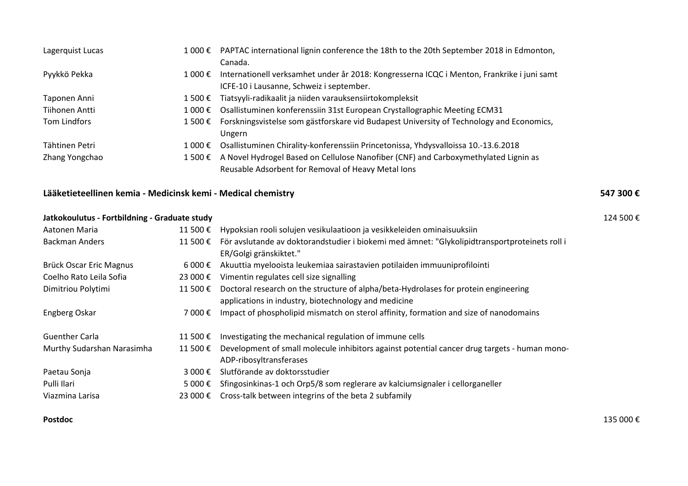| Lagerquist Lucas | 1 000 € | PAPTAC international lignin conference the 18th to the 20th September 2018 in Edmonton,    |
|------------------|---------|--------------------------------------------------------------------------------------------|
|                  |         | Canada.                                                                                    |
| Pyykkö Pekka     | 1 000 € | Internationell verksamhet under år 2018: Kongresserna ICQC i Menton, Frankrike i juni samt |
|                  |         | ICFE-10 i Lausanne, Schweiz i september.                                                   |
| Taponen Anni     | 1 500 € | Tiatsyyli-radikaalit ja niiden varauksensiirtokompleksit                                   |
| Tiihonen Antti   | 1 000 € | Osallistuminen konferenssiin 31st European Crystallographic Meeting ECM31                  |
| Tom Lindfors     | 1 500 € | Forskningsvistelse som gästforskare vid Budapest University of Technology and Economics,   |
|                  |         | Ungern                                                                                     |
| Tähtinen Petri   | 1 000 € | Osallistuminen Chirality-konferenssiin Princetonissa, Yhdysvalloissa 10.-13.6.2018         |
| Zhang Yongchao   | 1 500 € | A Novel Hydrogel Based on Cellulose Nanofiber (CNF) and Carboxymethylated Lignin as        |
|                  |         | Reusable Adsorbent for Removal of Heavy Metal Ions                                         |

## **Lääketieteellinen kemia - Medicinsk kemi - Medical chemistry 547 300 €**

| Jatkokoulutus - Fortbildning - Graduate study |                 |                                                                                               | 124 500 € |
|-----------------------------------------------|-----------------|-----------------------------------------------------------------------------------------------|-----------|
| Aatonen Maria                                 | 11 500 €        | Hypoksian rooli solujen vesikulaatioon ja vesikkeleiden ominaisuuksiin                        |           |
| <b>Backman Anders</b>                         | 11 500 €        | För avslutande av doktorandstudier i biokemi med ämnet: "Glykolipidtransportproteinets roll i |           |
|                                               |                 | ER/Golgi gränskiktet."                                                                        |           |
| Brück Oscar Eric Magnus                       | $6000 \text{€}$ | Akuuttia myelooista leukemiaa sairastavien potilaiden immuuniprofilointi                      |           |
| Coelho Rato Leila Sofia                       | 23 000 €        | Vimentin regulates cell size signalling                                                       |           |
| Dimitriou Polytimi                            | 11 500 €        | Doctoral research on the structure of alpha/beta-Hydrolases for protein engineering           |           |
|                                               |                 | applications in industry, biotechnology and medicine                                          |           |
| Engberg Oskar                                 | 7 000 €         | Impact of phospholipid mismatch on sterol affinity, formation and size of nanodomains         |           |
|                                               |                 |                                                                                               |           |
| <b>Guenther Carla</b>                         | 11 500 €        | Investigating the mechanical regulation of immune cells                                       |           |
| Murthy Sudarshan Narasimha                    | 11 500 €        | Development of small molecule inhibitors against potential cancer drug targets - human mono-  |           |
|                                               |                 | ADP-ribosyltransferases                                                                       |           |
| Paetau Sonja                                  | 3 000 €         | Slutförande av doktorsstudier                                                                 |           |
| Pulli Ilari                                   | 5 000 €         | Sfingosinkinas-1 och Orp5/8 som reglerare av kalciumsignaler i cellorganeller                 |           |
| Viazmina Larisa                               | 23 000 €        | Cross-talk between integrins of the beta 2 subfamily                                          |           |
|                                               |                 |                                                                                               |           |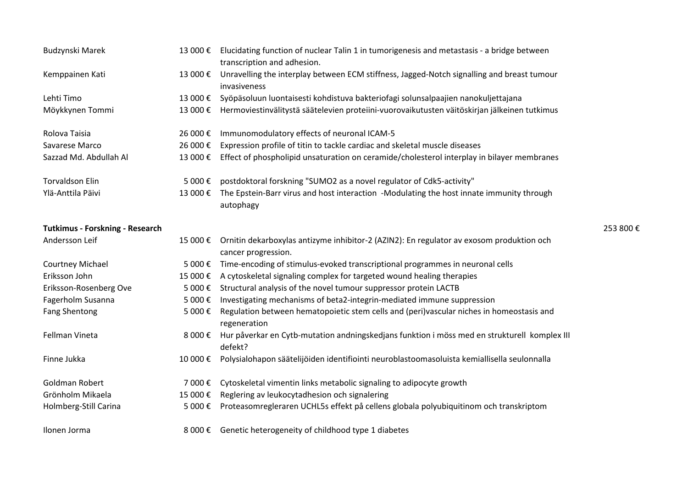| Budzynski Marek                        | 13 000 € | Elucidating function of nuclear Talin 1 in tumorigenesis and metastasis - a bridge between<br>transcription and adhesion. |          |
|----------------------------------------|----------|---------------------------------------------------------------------------------------------------------------------------|----------|
| Kemppainen Kati                        | 13 000€  | Unravelling the interplay between ECM stiffness, Jagged-Notch signalling and breast tumour<br>invasiveness                |          |
| Lehti Timo                             | 13 000€  | Syöpäsoluun luontaisesti kohdistuva bakteriofagi solunsalpaajien nanokuljettajana                                         |          |
| Möykkynen Tommi                        | 13 000 € | Hermoviestinvälitystä säätelevien proteiini-vuorovaikutusten väitöskirjan jälkeinen tutkimus                              |          |
| Rolova Taisia                          | 26 000€  | Immunomodulatory effects of neuronal ICAM-5                                                                               |          |
| Savarese Marco                         | 26 000€  | Expression profile of titin to tackle cardiac and skeletal muscle diseases                                                |          |
| Sazzad Md. Abdullah Al                 | 13 000€  | Effect of phospholipid unsaturation on ceramide/cholesterol interplay in bilayer membranes                                |          |
| <b>Torvaldson Elin</b>                 | 5 000€   | postdoktoral forskning "SUMO2 as a novel regulator of Cdk5-activity"                                                      |          |
| Ylä-Anttila Päivi                      | 13 000 € | The Epstein-Barr virus and host interaction -Modulating the host innate immunity through<br>autophagy                     |          |
| <b>Tutkimus - Forskning - Research</b> |          |                                                                                                                           | 253 800€ |
| Andersson Leif                         | 15 000€  | Ornitin dekarboxylas antizyme inhibitor-2 (AZIN2): En regulator av exosom produktion och<br>cancer progression.           |          |
| Courtney Michael                       | 5 000€   | Time-encoding of stimulus-evoked transcriptional programmes in neuronal cells                                             |          |
| Eriksson John                          | 15 000€  | A cytoskeletal signaling complex for targeted wound healing therapies                                                     |          |
| Eriksson-Rosenberg Ove                 | 5 000 €  | Structural analysis of the novel tumour suppressor protein LACTB                                                          |          |
| Fagerholm Susanna                      | 5 000 €  | Investigating mechanisms of beta2-integrin-mediated immune suppression                                                    |          |
| <b>Fang Shentong</b>                   | 5 000€   | Regulation between hematopoietic stem cells and (peri)vascular niches in homeostasis and<br>regeneration                  |          |
| Fellman Vineta                         | 8 000 €  | Hur påverkar en Cytb-mutation andningskedjans funktion i möss med en strukturell komplex III<br>defekt?                   |          |
| Finne Jukka                            | 10 000€  | Polysialohapon säätelijöiden identifiointi neuroblastoomasoluista kemiallisella seulonnalla                               |          |
| Goldman Robert                         | 7 000€   | Cytoskeletal vimentin links metabolic signaling to adipocyte growth                                                       |          |
| Grönholm Mikaela                       | 15 000€  | Reglering av leukocytadhesion och signalering                                                                             |          |
| Holmberg-Still Carina                  | 5 000€   | Proteasomregleraren UCHL5s effekt på cellens globala polyubiquitinom och transkriptom                                     |          |
| Ilonen Jorma                           | 8 000 €  | Genetic heterogeneity of childhood type 1 diabetes                                                                        |          |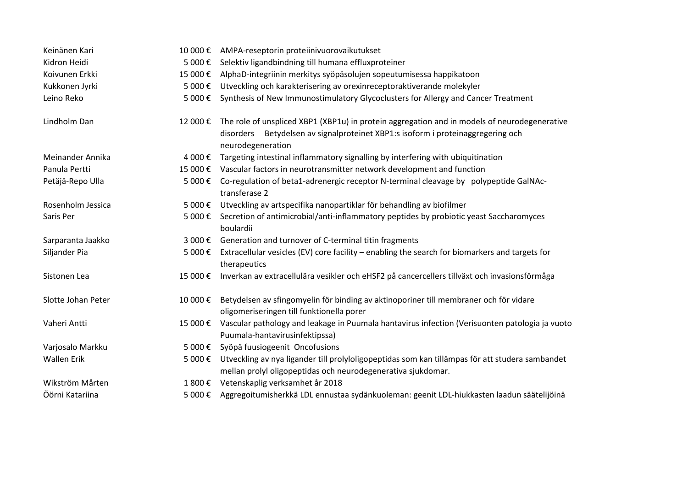| Keinänen Kari      | 10 000€ | AMPA-reseptorin proteiinivuorovaikutukset                                                                                                                       |
|--------------------|---------|-----------------------------------------------------------------------------------------------------------------------------------------------------------------|
| Kidron Heidi       | 5 000€  | Selektiv ligandbindning till humana effluxproteiner                                                                                                             |
| Koivunen Erkki     | 15 000€ | AlphaD-integriinin merkitys syöpäsolujen sopeutumisessa happikatoon                                                                                             |
| Kukkonen Jyrki     | 5 000€  | Utveckling och karakterisering av orexinreceptoraktiverande molekyler                                                                                           |
| Leino Reko         | 5 000€  | Synthesis of New Immunostimulatory Glycoclusters for Allergy and Cancer Treatment                                                                               |
| Lindholm Dan       | 12 000€ | The role of unspliced XBP1 (XBP1u) in protein aggregation and in models of neurodegenerative                                                                    |
|                    |         | disorders Betydelsen av signalproteinet XBP1:s isoform i proteinaggregering och<br>neurodegeneration                                                            |
| Meinander Annika   | 4 000€  | Targeting intestinal inflammatory signalling by interfering with ubiquitination                                                                                 |
| Panula Pertti      |         | 15 000 € Vascular factors in neurotransmitter network development and function                                                                                  |
| Petäjä-Repo Ulla   | 5 000€  | Co-regulation of beta1-adrenergic receptor N-terminal cleavage by polypeptide GalNAc-<br>transferase 2                                                          |
| Rosenholm Jessica  | 5 000€  | Utveckling av artspecifika nanopartiklar för behandling av biofilmer                                                                                            |
| Saris Per          | 5 000€  | Secretion of antimicrobial/anti-inflammatory peptides by probiotic yeast Saccharomyces<br>boulardii                                                             |
| Sarparanta Jaakko  | 3 000€  | Generation and turnover of C-terminal titin fragments                                                                                                           |
| Siljander Pia      | 5 000€  | Extracellular vesicles (EV) core facility - enabling the search for biomarkers and targets for<br>therapeutics                                                  |
| Sistonen Lea       | 15 000€ | Inverkan av extracellulära vesikler och eHSF2 på cancercellers tillväxt och invasionsförmåga                                                                    |
| Slotte Johan Peter | 10 000€ | Betydelsen av sfingomyelin för binding av aktinoporiner till membraner och för vidare<br>oligomeriseringen till funktionella porer                              |
| Vaheri Antti       | 15 000€ | Vascular pathology and leakage in Puumala hantavirus infection (Verisuonten patologia ja vuoto<br>Puumala-hantavirusinfektipssa)                                |
| Varjosalo Markku   | 5 000€  | Syöpä fuusiogeenit Oncofusions                                                                                                                                  |
| <b>Wallen Erik</b> | 5 000 € | Utveckling av nya ligander till prolyloligopeptidas som kan tillämpas för att studera sambandet<br>mellan prolyl oligopeptidas och neurodegenerativa sjukdomar. |
| Wikström Mårten    | 1 800€  | Vetenskaplig verksamhet år 2018                                                                                                                                 |
| Öörni Katariina    | 5 000€  | Aggregoitumisherkkä LDL ennustaa sydänkuoleman: geenit LDL-hiukkasten laadun säätelijöinä                                                                       |
|                    |         |                                                                                                                                                                 |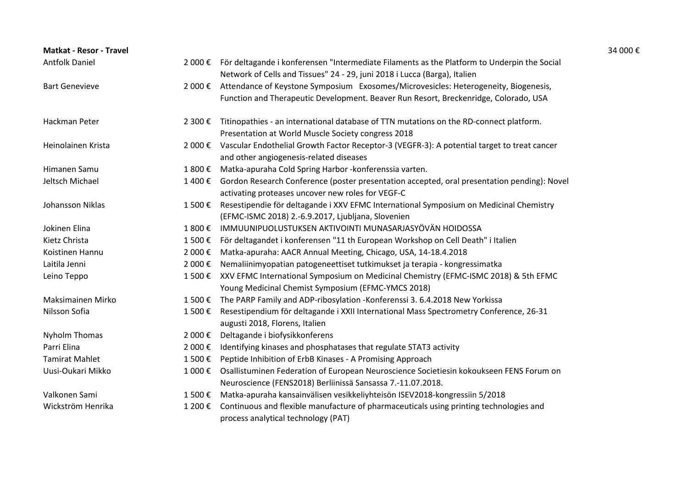| <b>Matkat - Resor - Travel</b> |         |                                                                                                                                                                                  | 34 000 € |
|--------------------------------|---------|----------------------------------------------------------------------------------------------------------------------------------------------------------------------------------|----------|
| <b>Antfolk Daniel</b>          |         | 2 000 € För deltagande i konferensen "Intermediate Filaments as the Platform to Underpin the Social<br>Network of Cells and Tissues" 24 - 29, juni 2018 i Lucca (Barga), Italien |          |
| <b>Bart Genevieve</b>          | 2 000 € | Attendance of Keystone Symposium Exosomes/Microvesicles: Heterogeneity, Biogenesis,                                                                                              |          |
|                                |         | Function and Therapeutic Development. Beaver Run Resort, Breckenridge, Colorado, USA                                                                                             |          |
| Hackman Peter                  |         | 2 300 € Titinopathies - an international database of TTN mutations on the RD-connect platform.                                                                                   |          |
|                                |         | Presentation at World Muscle Society congress 2018                                                                                                                               |          |
| Heinolainen Krista             |         | 2 000 € Vascular Endothelial Growth Factor Receptor-3 (VEGFR-3): A potential target to treat cancer                                                                              |          |
|                                |         | and other angiogenesis-related diseases                                                                                                                                          |          |
| Himanen Samu                   | 1 800 € | Matka-apuraha Cold Spring Harbor - konferenssia varten.                                                                                                                          |          |
| Jeltsch Michael                |         | 1 400 € Gordon Research Conference (poster presentation accepted, oral presentation pending): Novel                                                                              |          |
|                                |         | activating proteases uncover new roles for VEGF-C                                                                                                                                |          |
| Johansson Niklas               | 1 500 € | Resestipendie för deltagande i XXV EFMC International Symposium on Medicinal Chemistry                                                                                           |          |
|                                |         | (EFMC-ISMC 2018) 2.-6.9.2017, Ljubljana, Slovenien                                                                                                                               |          |
| Jokinen Elina                  | 1 800 € | IMMUUNIPUOLUSTUKSEN AKTIVOINTI MUNASARJASYÖVÄN HOIDOSSA                                                                                                                          |          |
| Kietz Christa                  | 1 500 € | För deltagandet i konferensen "11 th European Workshop on Cell Death" i Italien                                                                                                  |          |
| Koistinen Hannu                | 2 000 € | Matka-apuraha: AACR Annual Meeting, Chicago, USA, 14-18.4.2018                                                                                                                   |          |
| Laitila Jenni                  | 2 000 € | Nemaliinimyopatian patogeneettiset tutkimukset ja terapia - kongressimatka                                                                                                       |          |
| Leino Teppo                    |         | 1 500 € XXV EFMC International Symposium on Medicinal Chemistry (EFMC-ISMC 2018) & 5th EFMC<br>Young Medicinal Chemist Symposium (EFMC-YMCS 2018)                                |          |
| Maksimainen Mirko              | 1 500 € | The PARP Family and ADP-ribosylation -Konferenssi 3. 6.4.2018 New Yorkissa                                                                                                       |          |
| Nilsson Sofia                  | 1 500 € | Resestipendium för deltagande i XXII International Mass Spectrometry Conference, 26-31                                                                                           |          |
|                                |         | augusti 2018, Florens, Italien                                                                                                                                                   |          |
| <b>Nyholm Thomas</b>           | 2 000 € | Deltagande i biofysikkonferens                                                                                                                                                   |          |
| Parri Elina                    | 2 000 € | Identifying kinases and phosphatases that regulate STAT3 activity                                                                                                                |          |
| <b>Tamirat Mahlet</b>          | 1 500€  | Peptide Inhibition of ErbB Kinases - A Promising Approach                                                                                                                        |          |
| Uusi-Oukari Mikko              | 1 000 € | Osallistuminen Federation of European Neuroscience Societiesin kokoukseen FENS Forum on                                                                                          |          |
|                                |         | Neuroscience (FENS2018) Berliinissä Sansassa 7.-11.07.2018.                                                                                                                      |          |
| Valkonen Sami                  | 1 500 € | Matka-apuraha kansainvälisen vesikkeliyhteisön ISEV2018-kongressiin 5/2018                                                                                                       |          |
| Wickström Henrika              | 1 200 € | Continuous and flexible manufacture of pharmaceuticals using printing technologies and                                                                                           |          |
|                                |         | process analytical technology (PAT)                                                                                                                                              |          |